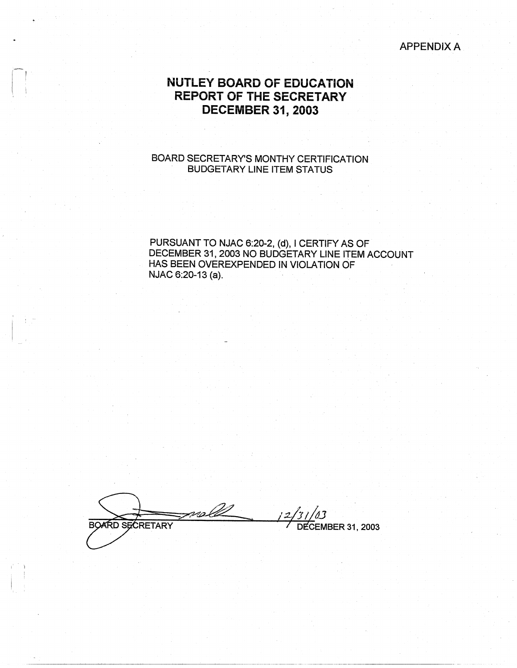#### APPENDIX A

# **NUTLEY BOARD OF EDUCATION REPORT OF THE SECRETARY DECEMBER 31, 2003**

### BOARD SECRETARY'S MONTHY CERTIFICATION BUDGETARY LINE ITEM STATUS

PURSUANT TO NJAC 6:20-2, (d), I CERTIFY AS OF DECEMBER 31, 2003 NO BUDGETARY LINE ITEM ACCOUNT HAS BEEN OVEREXPENDED IN VIOLATION OF NJAC 6:20-13 (a).

noll **BOARD SECRETARY** 

**DECEMBER 31, 2003** 

-----~---- --------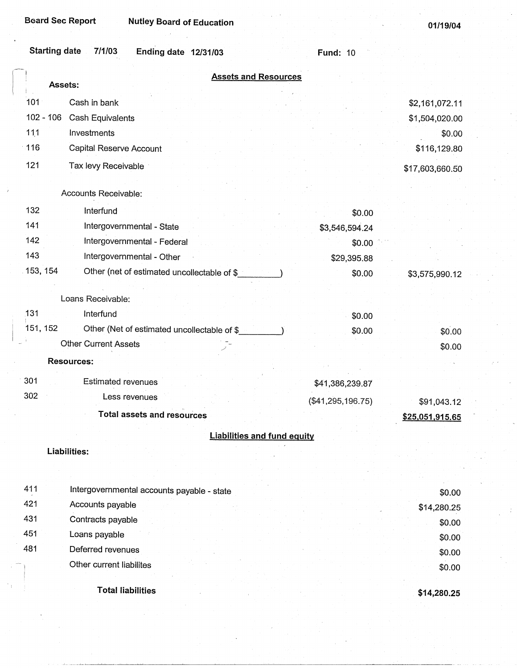**Board Sec Report Nutley Board of Education** 

**01/19/04** 

| <b>Assets and Resources</b><br>Assets:<br>101<br>Cash in bank<br>\$2,161,072.11<br>$102 - 106$<br>Cash Equivalents<br>\$1,504,020.00<br>111<br>Investments<br>\$0.00<br>$-116$<br>Capital Reserve Account<br>\$116,129.80<br>121<br>Tax levy Receivable<br>\$17,603,660.50<br>Accounts Receivable:<br>132<br>Interfund<br>\$0.00<br>141<br>Intergovernmental - State<br>\$3,546,594.24<br>142<br>Intergovernmental - Federal<br>\$0.00<br>143<br>Intergovernmental - Other<br>\$29,395.88<br>153, 154<br>Other (net of estimated uncollectable of \$<br>\$0.00<br>\$3,575,990.12<br>Loans Receivable:<br>131<br>Interfund<br>\$0.00<br>151, 152<br>Other (Net of estimated uncollectable of \$_<br>\$0.00<br>\$0.00<br>Other Current Assets<br>\$0.00<br><b>Resources:</b><br>301<br>Estimated revenues<br>\$41,386,239.87<br>302<br>Less revenues<br>(\$41, 295, 196.75)<br>\$91,043.12<br><b>Total assets and resources</b><br>\$25,051,915.65<br><b>Liabilities and fund equity</b><br>Liabilities:<br>411<br>Intergovernmental accounts payable - state<br>\$0.00 | <b>Starting date</b> | 7/1/03<br>Ending date 12/31/03 | <b>Fund: 10</b> |  |
|-----------------------------------------------------------------------------------------------------------------------------------------------------------------------------------------------------------------------------------------------------------------------------------------------------------------------------------------------------------------------------------------------------------------------------------------------------------------------------------------------------------------------------------------------------------------------------------------------------------------------------------------------------------------------------------------------------------------------------------------------------------------------------------------------------------------------------------------------------------------------------------------------------------------------------------------------------------------------------------------------------------------------------------------------------------------------|----------------------|--------------------------------|-----------------|--|
|                                                                                                                                                                                                                                                                                                                                                                                                                                                                                                                                                                                                                                                                                                                                                                                                                                                                                                                                                                                                                                                                       |                      |                                |                 |  |
|                                                                                                                                                                                                                                                                                                                                                                                                                                                                                                                                                                                                                                                                                                                                                                                                                                                                                                                                                                                                                                                                       |                      |                                |                 |  |
|                                                                                                                                                                                                                                                                                                                                                                                                                                                                                                                                                                                                                                                                                                                                                                                                                                                                                                                                                                                                                                                                       |                      |                                |                 |  |
|                                                                                                                                                                                                                                                                                                                                                                                                                                                                                                                                                                                                                                                                                                                                                                                                                                                                                                                                                                                                                                                                       |                      |                                |                 |  |
|                                                                                                                                                                                                                                                                                                                                                                                                                                                                                                                                                                                                                                                                                                                                                                                                                                                                                                                                                                                                                                                                       |                      |                                |                 |  |
|                                                                                                                                                                                                                                                                                                                                                                                                                                                                                                                                                                                                                                                                                                                                                                                                                                                                                                                                                                                                                                                                       |                      |                                |                 |  |
|                                                                                                                                                                                                                                                                                                                                                                                                                                                                                                                                                                                                                                                                                                                                                                                                                                                                                                                                                                                                                                                                       |                      |                                |                 |  |
|                                                                                                                                                                                                                                                                                                                                                                                                                                                                                                                                                                                                                                                                                                                                                                                                                                                                                                                                                                                                                                                                       |                      |                                |                 |  |
|                                                                                                                                                                                                                                                                                                                                                                                                                                                                                                                                                                                                                                                                                                                                                                                                                                                                                                                                                                                                                                                                       |                      |                                |                 |  |
|                                                                                                                                                                                                                                                                                                                                                                                                                                                                                                                                                                                                                                                                                                                                                                                                                                                                                                                                                                                                                                                                       |                      |                                |                 |  |
|                                                                                                                                                                                                                                                                                                                                                                                                                                                                                                                                                                                                                                                                                                                                                                                                                                                                                                                                                                                                                                                                       |                      |                                |                 |  |
|                                                                                                                                                                                                                                                                                                                                                                                                                                                                                                                                                                                                                                                                                                                                                                                                                                                                                                                                                                                                                                                                       |                      |                                |                 |  |
|                                                                                                                                                                                                                                                                                                                                                                                                                                                                                                                                                                                                                                                                                                                                                                                                                                                                                                                                                                                                                                                                       |                      |                                |                 |  |
|                                                                                                                                                                                                                                                                                                                                                                                                                                                                                                                                                                                                                                                                                                                                                                                                                                                                                                                                                                                                                                                                       |                      |                                |                 |  |
|                                                                                                                                                                                                                                                                                                                                                                                                                                                                                                                                                                                                                                                                                                                                                                                                                                                                                                                                                                                                                                                                       |                      |                                |                 |  |
|                                                                                                                                                                                                                                                                                                                                                                                                                                                                                                                                                                                                                                                                                                                                                                                                                                                                                                                                                                                                                                                                       |                      |                                |                 |  |
|                                                                                                                                                                                                                                                                                                                                                                                                                                                                                                                                                                                                                                                                                                                                                                                                                                                                                                                                                                                                                                                                       |                      |                                |                 |  |
|                                                                                                                                                                                                                                                                                                                                                                                                                                                                                                                                                                                                                                                                                                                                                                                                                                                                                                                                                                                                                                                                       |                      |                                |                 |  |
|                                                                                                                                                                                                                                                                                                                                                                                                                                                                                                                                                                                                                                                                                                                                                                                                                                                                                                                                                                                                                                                                       |                      |                                |                 |  |
|                                                                                                                                                                                                                                                                                                                                                                                                                                                                                                                                                                                                                                                                                                                                                                                                                                                                                                                                                                                                                                                                       |                      |                                |                 |  |
|                                                                                                                                                                                                                                                                                                                                                                                                                                                                                                                                                                                                                                                                                                                                                                                                                                                                                                                                                                                                                                                                       |                      |                                |                 |  |
|                                                                                                                                                                                                                                                                                                                                                                                                                                                                                                                                                                                                                                                                                                                                                                                                                                                                                                                                                                                                                                                                       |                      |                                |                 |  |
|                                                                                                                                                                                                                                                                                                                                                                                                                                                                                                                                                                                                                                                                                                                                                                                                                                                                                                                                                                                                                                                                       |                      |                                |                 |  |
|                                                                                                                                                                                                                                                                                                                                                                                                                                                                                                                                                                                                                                                                                                                                                                                                                                                                                                                                                                                                                                                                       |                      |                                |                 |  |
|                                                                                                                                                                                                                                                                                                                                                                                                                                                                                                                                                                                                                                                                                                                                                                                                                                                                                                                                                                                                                                                                       |                      |                                |                 |  |
|                                                                                                                                                                                                                                                                                                                                                                                                                                                                                                                                                                                                                                                                                                                                                                                                                                                                                                                                                                                                                                                                       |                      |                                |                 |  |
|                                                                                                                                                                                                                                                                                                                                                                                                                                                                                                                                                                                                                                                                                                                                                                                                                                                                                                                                                                                                                                                                       |                      |                                |                 |  |
| \$14,280.25                                                                                                                                                                                                                                                                                                                                                                                                                                                                                                                                                                                                                                                                                                                                                                                                                                                                                                                                                                                                                                                           | 421                  | Accounts payable               |                 |  |
| 431<br>Contracts payable<br>\$0.00                                                                                                                                                                                                                                                                                                                                                                                                                                                                                                                                                                                                                                                                                                                                                                                                                                                                                                                                                                                                                                    |                      |                                |                 |  |
| 451<br>Loans payable<br>\$0.00                                                                                                                                                                                                                                                                                                                                                                                                                                                                                                                                                                                                                                                                                                                                                                                                                                                                                                                                                                                                                                        |                      |                                |                 |  |
| 481<br>Deferred revenues<br>\$0.00                                                                                                                                                                                                                                                                                                                                                                                                                                                                                                                                                                                                                                                                                                                                                                                                                                                                                                                                                                                                                                    |                      |                                |                 |  |
| Other current liabilites<br>\$0.00                                                                                                                                                                                                                                                                                                                                                                                                                                                                                                                                                                                                                                                                                                                                                                                                                                                                                                                                                                                                                                    |                      |                                |                 |  |
| <b>Total liabilities</b><br>\$14,280.25                                                                                                                                                                                                                                                                                                                                                                                                                                                                                                                                                                                                                                                                                                                                                                                                                                                                                                                                                                                                                               |                      |                                |                 |  |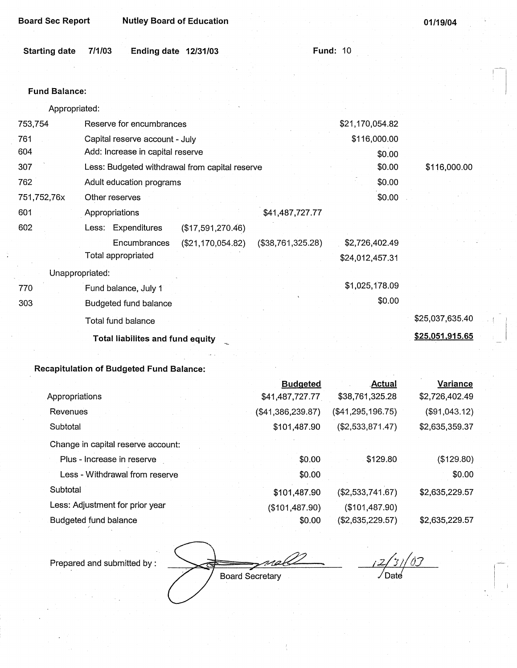| <b>Board Sec Report</b> | <b>Nutley Board of Education</b>               |                   |                 | 01/19/04        |
|-------------------------|------------------------------------------------|-------------------|-----------------|-----------------|
| <b>Starting date</b>    | 7/1/03<br>Ending date 12/31/03                 | <b>Fund: 10</b>   |                 |                 |
|                         |                                                |                   |                 |                 |
| <b>Fund Balance:</b>    |                                                |                   |                 |                 |
| Appropriated:           |                                                |                   |                 |                 |
| 753,754                 | Reserve for encumbrances                       |                   | \$21,170,054.82 |                 |
| 761                     | Capital reserve account - July                 |                   | \$116,000.00    |                 |
| 604                     | Add: Increase in capital reserve               |                   | \$0.00          |                 |
| 307                     | Less: Budgeted withdrawal from capital reserve |                   | \$0.00          | \$116,000.00    |
| 762                     | Adult education programs                       |                   | \$0.00          |                 |
| 751,752,76x             | Other reserves                                 |                   | \$0.00          |                 |
| 601                     | Appropriations                                 | \$41,487,727.77   |                 |                 |
| 602                     | Less: Expenditures<br>(\$17,591,270.46)        |                   |                 |                 |
|                         | Encumbrances<br>(\$21,170,054.82)              | (\$38,761,325.28) | \$2,726,402.49  |                 |
|                         | Total appropriated                             |                   | \$24,012,457.31 |                 |
|                         | Unappropriated:                                |                   |                 |                 |
| 770                     | Fund balance, July 1                           |                   | \$1,025,178.09  |                 |
| 303                     | Budgeted fund balance                          |                   | \$0.00          |                 |
|                         | <b>Total fund balance</b>                      |                   |                 | \$25,037,635.40 |
|                         | Total liabilites and fund equity               |                   |                 | \$25,051,915.65 |
|                         |                                                |                   |                 |                 |

# **Recapitulation of Budgeted Fund Balance:**

|                                    | <b>Budgeted</b>   | <b>Actual</b>     | <b>Variance</b> |
|------------------------------------|-------------------|-------------------|-----------------|
| Appropriations                     | \$41,487,727.77   | \$38,761,325.28   | \$2,726,402.49  |
| Revenues                           | (\$41,386,239.87) | (\$41,295,196.75) | (\$91,043.12)   |
| Subtotal                           | \$101,487.90      | (\$2,533,871.47)  | \$2,635,359.37  |
| Change in capital reserve account: |                   |                   |                 |
| Plus - Increase in reserve         | \$0.00            | \$129.80          | (\$129.80)      |
| Less - Withdrawal from reserve     | \$0.00            |                   | \$0.00          |
| Subtotal                           | \$101,487.90      | (\$2,533,741.67)  | \$2,635,229.57  |
| Less: Adjustment for prior year    | (\$101,487.90)    | (\$101,487.90)    |                 |
| Budgeted fund balance              | \$0.00            | (\$2,635,229.57)  | \$2,635,229.57  |

 $\partial$ 

√Date

Board Secretary

¢

Prepared and submitted by :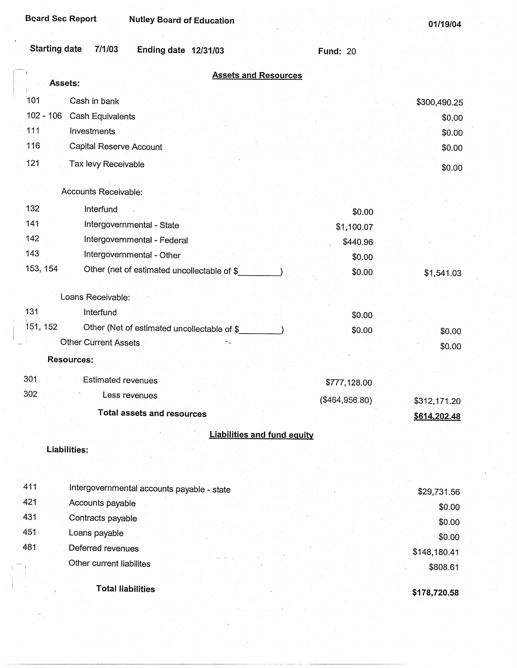01/19/04

| <b>Starting date</b><br>7/1/03<br><b>Ending date 12/31/03</b> | <b>Fund: 20</b> |              |
|---------------------------------------------------------------|-----------------|--------------|
| <b>Assets and Resources</b><br>Assets:                        |                 |              |
| 101<br>Cash in bank                                           |                 | \$300,490.25 |
| $102 - 106$<br>Cash Equivalents                               |                 | \$0.00       |
| 111<br>Investments                                            |                 | \$0.00       |
| 116<br>Capital Reserve Account                                |                 | \$0.00       |
| 121<br>Tax levy Receivable                                    |                 |              |
|                                                               |                 | \$0.00       |
| Accounts Receivable:                                          |                 |              |
| 132<br>Interfund                                              | \$0.00          |              |
| 141<br>Intergovernmental - State                              | \$1,100.07      |              |
| 142<br>Intergovernmental - Federal                            | \$440.96        |              |
| 143<br>Intergovernmental - Other                              | \$0.00          |              |
| 153, 154<br>Other (net of estimated uncollectable of \$       | \$0.00          | \$1,541.03   |
| Loans Receivable:                                             |                 |              |
| 131<br>Interfund                                              | \$0.00          |              |
| 151, 152<br>Other (Net of estimated uncollectable of \$       | \$0.00          | \$0.00       |
| <b>Other Current Assets</b>                                   |                 | \$0.00       |
| <b>Resources:</b>                                             |                 |              |
| 301<br><b>Estimated revenues</b>                              | \$777,128.00    |              |
| 302<br>Less revenues                                          | $(*464,956.80)$ | \$312,171.20 |
| <b>Total assets and resources</b>                             |                 | \$614,202.48 |
|                                                               |                 |              |
| <b>Liabilities and fund equity</b>                            |                 |              |
| Liabilities:                                                  |                 |              |
|                                                               |                 |              |
| 411<br>Intergovernmental accounts payable - state             |                 | \$29,731.56  |
| 421<br>Accounts payable                                       |                 | \$0.00       |
| 431<br>Contracts payable                                      |                 | \$0.00       |
| 451<br>Loans payable                                          |                 | \$0.00       |
| 481<br>Deferred revenues                                      |                 | \$148,180.41 |
| Other current liabilites                                      |                 | \$808.61     |
|                                                               |                 |              |

**Total liabilities** 

**\$178,720.58**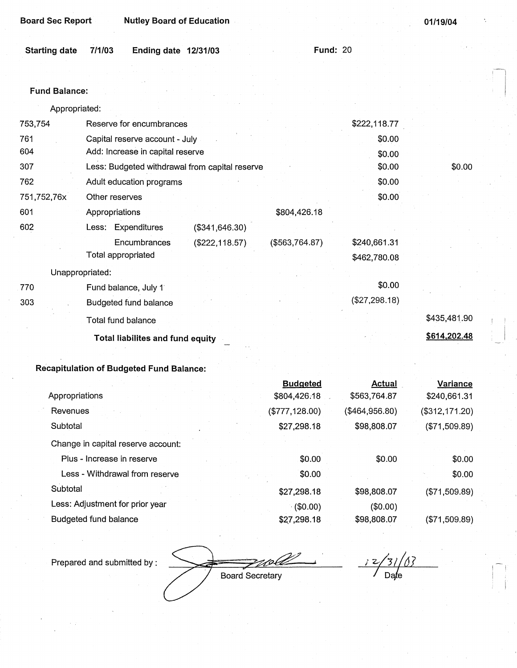| <b>Board Sec Report</b>        | <b>Nutley Board of Education</b> |                 | 01/19/04 |
|--------------------------------|----------------------------------|-----------------|----------|
| 7/1/03<br><b>Starting date</b> | <b>Ending date 12/31/03</b>      | <b>Fund: 20</b> |          |
| <b>Fund Balance:</b>           |                                  |                 |          |

| Appropriated: |                                                |                  |               |              |
|---------------|------------------------------------------------|------------------|---------------|--------------|
| 753,754       | Reserve for encumbrances                       |                  | \$222,118.77  |              |
| 761           | Capital reserve account - July                 |                  | \$0.00        |              |
| 604           | Add: Increase in capital reserve               |                  | \$0.00        |              |
| 307           | Less: Budgeted withdrawal from capital reserve |                  | \$0.00        | \$0.00       |
| 762           | Adult education programs                       |                  | \$0.00        |              |
| 751,752,76x   | Other reserves                                 |                  | \$0.00        |              |
| 601           | Appropriations                                 | \$804,426.18     |               |              |
| 602           | Expenditures<br>(\$341, 646.30)<br>Less:       |                  |               |              |
|               | Encumbrances<br>$(\$222,118.57)$               | ( \$563, 764.87) | \$240,661.31  |              |
|               | Total appropriated                             |                  | \$462,780.08  |              |
|               | Unappropriated:                                |                  |               |              |
| 770           | Fund balance, July 1                           |                  | \$0.00        |              |
| 303           | <b>Budgeted fund balance</b>                   |                  | (\$27,298.18) |              |
|               | <b>Total fund balance</b>                      |                  |               | \$435,481.90 |
|               | Total liabilites and fund equity               |                  |               | \$614,202.48 |

## **Recapitulation of Budgeted Fund Balance:**

|                                    | <b>Budgeted</b> | <b>Actual</b>  | <b>Variance</b> |
|------------------------------------|-----------------|----------------|-----------------|
| Appropriations                     | \$804,426.18    | \$563,764.87   | \$240,661.31    |
| Revenues                           | (\$777, 128.00) | (\$464,956.80) | (\$312,171.20)  |
| Subtotal                           | \$27,298.18     | \$98,808.07    | (\$71,509.89)   |
| Change in capital reserve account: |                 |                |                 |
| Plus - Increase in reserve         | \$0.00          | \$0.00         | \$0.00          |
| Less - Withdrawal from reserve     | \$0.00          |                | \$0.00          |
| Subtotal                           | \$27,298.18     | \$98,808.07    | (\$71,509.89)   |
| Less: Adjustment for prior year    | (60.00)         | (\$0.00)       |                 |
| Budgeted fund balance              | \$27,298.18     | \$98,808.07    | (\$71,509.89)   |

Prepared and submitted by :

Board Secretary / Date

 $\overline{z}$ 

**I**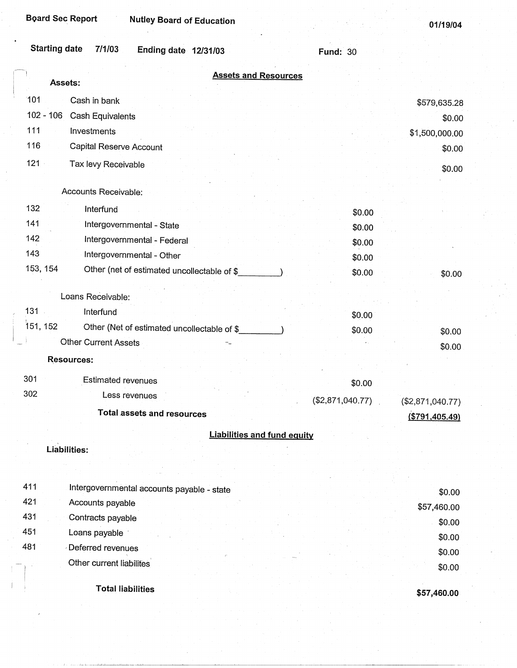| <b>Board Sec Report</b><br><b>Nutley Board of Education</b>   |                  | 01/19/04         |
|---------------------------------------------------------------|------------------|------------------|
| <b>Starting date</b><br>7/1/03<br><b>Ending date 12/31/03</b> | <b>Fund: 30</b>  |                  |
| <b>Assets and Resources</b><br>Assets:                        |                  |                  |
| 101<br>Cash in bank                                           |                  | \$579,635.28     |
| 102 - 106 Cash Equivalents                                    |                  | \$0.00           |
| 111<br>Investments                                            |                  | \$1,500,000.00   |
| 116<br>Capital Reserve Account                                |                  | \$0.00           |
| $121 -$<br>Tax levy Receivable                                |                  | \$0.00           |
|                                                               |                  |                  |
| Accounts Receivable:                                          |                  |                  |
| 132<br>Interfund                                              | \$0.00           |                  |
| 141<br>Intergovernmental - State                              | \$0.00           |                  |
| 142<br>Intergovernmental - Federal                            | \$0.00           |                  |
| 143<br>Intergovernmental - Other                              | \$0.00           |                  |
| 153, 154<br>Other (net of estimated uncollectable of \$       | \$0.00           | \$0.00           |
| Loans Receivable:                                             |                  |                  |
| $131 -$<br>Interfund                                          |                  |                  |
| 151, 152<br>Other (Net of estimated uncollectable of \$       | \$0.00           |                  |
| Other Current Assets                                          | \$0.00           | \$0.00           |
| <b>Resources:</b>                                             |                  | \$0.00           |
|                                                               |                  |                  |
| 301<br>Estimated revenues                                     | \$0.00           |                  |
| 302<br>Less revenues                                          | (\$2,871,040.77) | (\$2,871,040.77) |
| <b>Total assets and resources</b>                             |                  | ( \$791,405.49)  |
| <b>Liabilities and fund equity</b>                            |                  |                  |
| Liabilities:                                                  |                  |                  |
|                                                               |                  |                  |
| 411<br>Intergovernmental accounts payable - state             |                  |                  |
| 421<br>Accounts payable                                       |                  | \$0.00           |
| 431<br>Contracts payable                                      |                  | \$57,460.00      |
|                                                               |                  | \$0.00           |

431 Contracts payable 451 Loans payable · 481 Deferred revenues Other current liabilites

Total liabilities

**\$57,460.00** 

\$0.00 \$0.00 \$0.00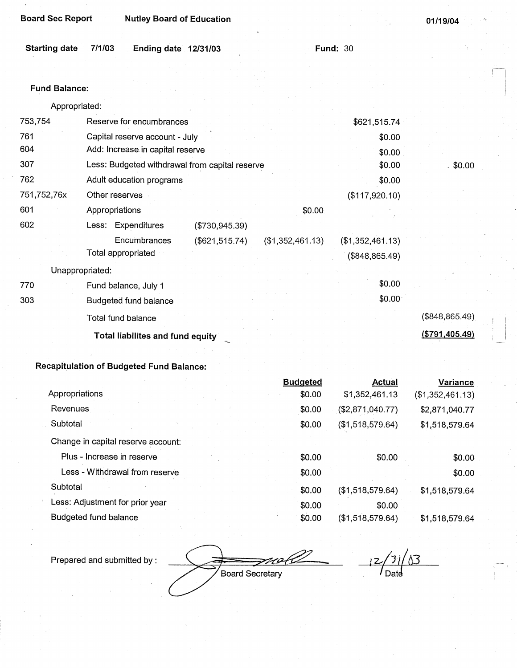| <b>Board Sec Report</b> |        | <b>Nutley Board of Education</b> |  |                 |  | 01/19/04 |  |
|-------------------------|--------|----------------------------------|--|-----------------|--|----------|--|
|                         |        |                                  |  |                 |  |          |  |
| <b>Starting date</b>    | 7/1/03 | Ending date $12/31/03$           |  | <b>Fund: 30</b> |  |          |  |
|                         |        |                                  |  |                 |  |          |  |

#### **Fund Balance:**

Appropriated:

| 753,754         | Reserve for encumbrances                       |                  | \$621,515.74        |                  |
|-----------------|------------------------------------------------|------------------|---------------------|------------------|
| 761             | Capital reserve account - July                 |                  | \$0.00              |                  |
| 604             | Add: Increase in capital reserve               |                  | \$0.00              |                  |
| 307             | Less: Budgeted withdrawal from capital reserve |                  | \$0.00              | 50.00            |
| 762             | Adult education programs                       |                  | \$0.00              |                  |
| 751,752,76x     | Other reserves                                 |                  | (\$117,920.10)      |                  |
| 601             | Appropriations                                 | \$0.00           |                     |                  |
| 602             | Less: Expenditures<br>(\$730,945.39)           |                  |                     |                  |
|                 | Encumbrances<br>(\$621,515.74)                 | (\$1,352,461.13) | (\$1,352,461.13)    |                  |
|                 | Total appropriated                             |                  | (\$848, 865.49)     |                  |
| Unappropriated: |                                                |                  |                     |                  |
| 770             | Fund balance, July 1                           |                  | \$0.00              |                  |
| 303             | Budgeted fund balance                          |                  | \$0.00 <sub>1</sub> |                  |
|                 | Total fund balance                             |                  |                     | (\$848, 865.49)  |
|                 | Total liabilites and fund equity               |                  |                     | ( \$791, 405.49) |

## **Recapitulation of Budgeted Fund Balance:**

|                                    | <b>Budgeted</b> | <b>Actual</b>              | Variance         |
|------------------------------------|-----------------|----------------------------|------------------|
| Appropriations                     | \$0.00          | \$1,352,461.13             | (\$1,352,461.13) |
| Revenues                           | \$0.00          | (\$2,871,040.77)           | \$2,871,040.77   |
| Subtotal                           | \$0.00          | (\$1,518,579.64)           | \$1,518,579.64   |
| Change in capital reserve account: |                 |                            |                  |
| Plus - Increase in reserve         |                 | \$0.00<br>\$0.00           | \$0.00           |
| Less - Withdrawal from reserve     |                 | \$0.00                     | \$0.00           |
| Subtotal                           | \$0.00          | (\$1,518,579.64)           | \$1,518,579.64   |
| Less: Adjustment for prior year    |                 | \$0.00<br>\$0.00           |                  |
| Budgeted fund balance              |                 | \$0.00<br>(\$1,518,579.64) | \$1,518,579.64   |

Prepared and submitted by :

 $\frac{12}{10}$ Board Secretary

 $12/31/13$  $^{\prime}$  Date

 $$0.00$ 

I~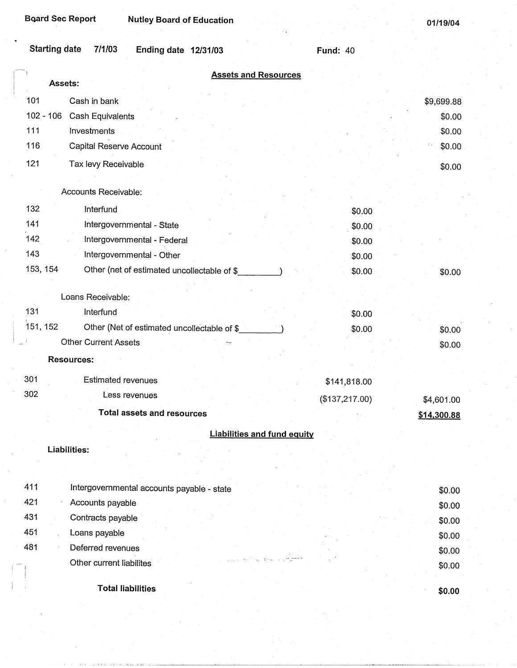| <b>Board Sec Report</b> | <b>Nutley Board of Education</b>            |                                    |                 | 01/19/04         |
|-------------------------|---------------------------------------------|------------------------------------|-----------------|------------------|
| <b>Starting date</b>    | 7/1/03<br><b>Ending date 12/31/03</b>       |                                    | <b>Fund: 40</b> |                  |
| Assets:                 |                                             | <b>Assets and Resources</b>        |                 |                  |
|                         |                                             |                                    |                 |                  |
| 101                     | Cash in bank                                |                                    |                 | \$9,699.88       |
| $102 - 106$             | Cash Equivalents                            |                                    |                 | \$0.00           |
| 111                     | Investments                                 |                                    |                 | \$0.00           |
| 116                     | Capital Reserve Account                     |                                    |                 | \$0.00           |
| 121                     | Tax levy Receivable                         |                                    |                 | \$0.00           |
|                         |                                             |                                    |                 |                  |
|                         | Accounts Receivable:                        |                                    |                 |                  |
| 132                     | Interfund                                   |                                    |                 | \$0.00           |
| 141                     | Intergovernmental - State                   |                                    |                 | \$0.00           |
| 142                     | Intergovernmental - Federal                 |                                    |                 | \$0.00           |
| 143                     | Intergovernmental - Other                   |                                    |                 | \$0.00           |
| 153, 154                | Other (net of estimated uncollectable of \$ |                                    |                 | \$0.00<br>\$0.00 |
|                         |                                             |                                    |                 |                  |
|                         | Loans Receivable:                           |                                    |                 |                  |
| 131                     | Interfund                                   |                                    |                 | \$0.00           |
| 151, 152                | Other (Net of estimated uncollectable of \$ |                                    |                 | \$0.00<br>\$0.00 |
|                         | <b>Other Current Assets</b>                 |                                    |                 | \$0.00           |
|                         | <b>Resources:</b>                           |                                    |                 |                  |
| 301                     | <b>Estimated revenues</b>                   |                                    | \$141,818.00    |                  |
| 302                     | Less revenues                               |                                    | (\$137,217.00)  |                  |
|                         | <b>Total assets and resources</b>           |                                    |                 | \$4,601.00       |
|                         |                                             |                                    |                 | \$14,300.88      |
|                         |                                             | <b>Liabilities and fund equity</b> |                 |                  |
|                         | Liabilities:                                |                                    |                 |                  |
|                         |                                             |                                    |                 |                  |
| 411                     | Intergovernmental accounts payable - state  |                                    |                 |                  |
| 421                     | Accounts payable                            |                                    |                 | \$0.00           |
| 431                     | Contracts payable                           |                                    |                 | \$0.00           |
| 451                     | Loans payable                               |                                    |                 | \$0.00           |
| 481                     | Deferred revenues                           |                                    |                 | \$0.00           |
|                         | Other current liabilites                    |                                    |                 | \$0.00           |
|                         |                                             |                                    |                 | \$0.00           |

**Total liabilities** 

**\$0.00**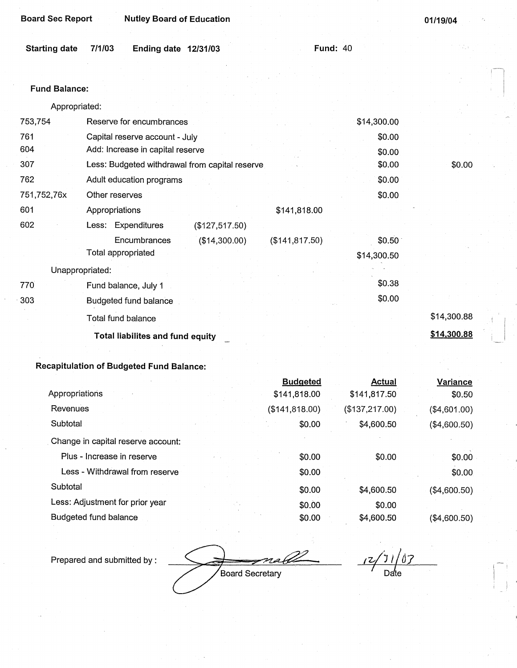| <b>Board Sec Report</b> |        | <b>Nutley Board of Education</b> |                 | 01/19/04 |
|-------------------------|--------|----------------------------------|-----------------|----------|
|                         |        |                                  |                 |          |
| <b>Starting date</b>    | 7/1/03 | Ending date $12/31/03$           | <b>Fund: 40</b> |          |

### **Fund Balance:**

| Appropriated: |  |
|---------------|--|
|               |  |

| 753,754         | Reserve for encumbrances                       |                 | \$14,300.00 |             |
|-----------------|------------------------------------------------|-----------------|-------------|-------------|
| 761             | Capital reserve account - July                 |                 | \$0.00      |             |
| 604             | Add: Increase in capital reserve               |                 | \$0.00      |             |
| 307             | Less: Budgeted withdrawal from capital reserve |                 | \$0.00      | \$0.00      |
| 762             | Adult education programs                       |                 | \$0.00      |             |
| 751,752,76x     | Other reserves                                 |                 | \$0.00      |             |
| 601             | Appropriations                                 | \$141,818.00    |             |             |
| 602             | Less: Expenditures<br>(\$127,517.50)           |                 |             |             |
|                 | Encumbrances<br>(\$14,300.00)                  | (\$141, 817.50) | \$0.50      |             |
|                 | Total appropriated                             |                 | \$14,300.50 |             |
| Unappropriated: |                                                |                 |             |             |
| 770             | Fund balance, July 1                           |                 | \$0.38      |             |
| 303             | <b>Budgeted fund balance</b>                   |                 | \$0.00      |             |
|                 | Total fund balance                             |                 |             | \$14,300.88 |
|                 | <b>Total liabilites and fund equity</b>        |                 |             | \$14,300.88 |

# **Recapitulation of Budgeted Fund Balance:**

|                                    | <b>Budgeted</b> | <b>Actual</b>  | Variance     |
|------------------------------------|-----------------|----------------|--------------|
| Appropriations                     | \$141,818.00    | \$141,817.50   | \$0.50       |
| Revenues                           | (\$141,818.00)  | (\$137,217.00) | (\$4,601.00) |
| Subtotal                           | \$0.00          | \$4,600.50     | (\$4,600.50) |
| Change in capital reserve account: |                 |                |              |
| Plus - Increase in reserve         | \$0.00          | \$0.00         | \$0.00       |
| Less - Withdrawal from reserve     | \$0.00          |                | \$0.00       |
| Subtotal                           | \$0.00          | \$4,600.50     | (\$4,600.50) |
| Less: Adjustment for prior year    | \$0.00          | \$0.00         |              |
| Budgeted fund balance              | \$0.00          | \$4,600.50     | (\$4,600.50) |

Prepared and submitted by :

Board Secretary

*r* 2/1/07<br>Date

-I

 $\mathbf{I}^{\text{max}}$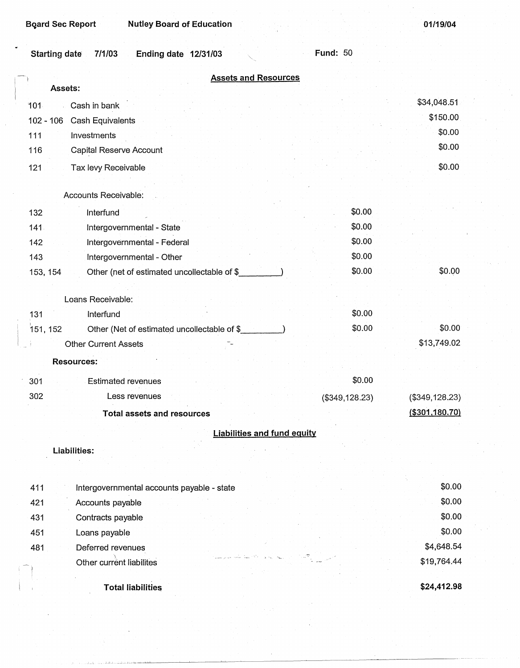01/19/04

| 7/1/03<br><b>Starting date</b><br>Ending date 12/31/03  | <b>Fund: 50</b>                    |
|---------------------------------------------------------|------------------------------------|
| <b>Assets and Resources</b>                             |                                    |
| Assets:                                                 | \$34,048.51                        |
| Cash in bank<br>101                                     | \$150.00                           |
| Cash Equivalents<br>$102 - 106$                         | \$0.00                             |
| 111<br>Investments                                      | \$0.00                             |
| Capital Reserve Account<br>116                          |                                    |
| 121<br>Tax levy Receivable                              | \$0.00                             |
| Accounts Receivable:                                    |                                    |
|                                                         |                                    |
| 132<br>Interfund                                        | \$0.00                             |
| 141.<br>Intergovernmental - State                       | \$0.00                             |
| Intergovernmental - Federal<br>142                      | \$0.00                             |
| 143<br>Intergovernmental - Other                        | \$0.00                             |
| Other (net of estimated uncollectable of \$<br>153, 154 | \$0.00<br>\$0.00                   |
| Loans Receivable:                                       |                                    |
| 131<br>Interfund                                        | \$0.00                             |
| 151, 152<br>Other (Net of estimated uncollectable of \$ | \$0.00<br>\$0.00                   |
| <b>Other Current Assets</b>                             | \$13,749.02                        |
| <b>Resources:</b>                                       |                                    |
|                                                         |                                    |
| 301<br><b>Estimated revenues</b>                        | \$0.00                             |
| 302<br>Less revenues                                    | (\$349, 128.23)<br>(\$349, 128.23) |
| <b>Total assets and resources</b>                       | (\$301,180.70)                     |
| <b>Liabilities and fund equity</b>                      |                                    |
| <b>Liabilities:</b>                                     |                                    |
|                                                         |                                    |
|                                                         |                                    |
| 411<br>Intergovernmental accounts payable - state       | \$0.00                             |
| 421<br>Accounts payable                                 | \$0.00                             |
| 431<br>Contracts payable                                | \$0.00                             |
| 451<br>Loans payable                                    | \$0.00                             |
| Deferred revenues<br>481                                | \$4,648.54                         |
| Other current liabilites                                | \$19,764.44                        |
|                                                         |                                    |
| <b>Total liabilities</b>                                | \$24,412.98                        |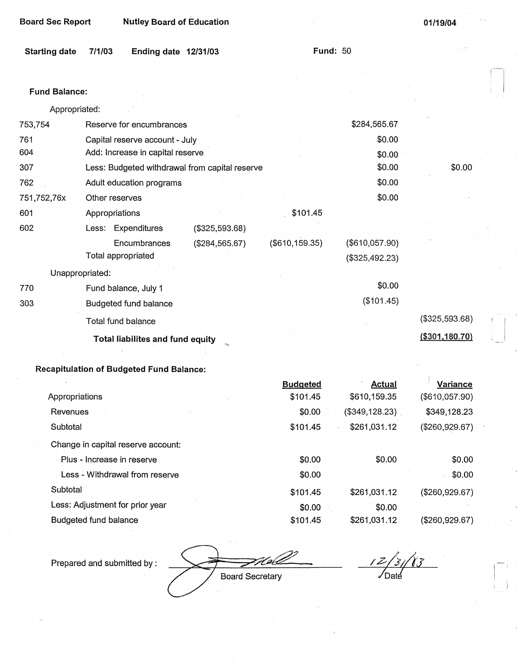| <b>Board Sec Report</b> |                                                | <b>Nutley Board of Education</b> |                 |                | 01/19/04              |  |
|-------------------------|------------------------------------------------|----------------------------------|-----------------|----------------|-----------------------|--|
| <b>Starting date</b>    | 7/1/03<br><b>Ending date 12/31/03</b>          |                                  | <b>Fund: 50</b> |                |                       |  |
| <b>Fund Balance:</b>    |                                                |                                  |                 |                |                       |  |
| Appropriated:           |                                                |                                  |                 |                |                       |  |
| 753,754                 | Reserve for encumbrances                       |                                  |                 | \$284,565.67   |                       |  |
| 761                     | Capital reserve account - July                 |                                  |                 | \$0.00         |                       |  |
| 604                     | Add: Increase in capital reserve               |                                  |                 | \$0.00         |                       |  |
| 307                     | Less: Budgeted withdrawal from capital reserve |                                  |                 | \$0.00         | \$0.00                |  |
| 762                     | Adult education programs                       |                                  |                 | \$0.00         |                       |  |
| 751,752,76x             | Other reserves                                 |                                  |                 | \$0.00         |                       |  |
| 601                     | Appropriations                                 |                                  | \$101.45        |                |                       |  |
| 602                     | Less: Expenditures                             | (\$325,593.68)                   |                 |                |                       |  |
|                         | Encumbrances                                   | (\$284,565.67)                   | (\$610, 159.35) | (\$610,057.90) |                       |  |
|                         | Total appropriated                             |                                  |                 | (\$325,492.23) |                       |  |
|                         | Unappropriated:                                |                                  |                 |                |                       |  |
| 770                     | Fund balance, July 1                           |                                  |                 | \$0.00         |                       |  |
| $303 -$                 | Budgeted fund balance                          |                                  |                 | (\$101.45)     |                       |  |
|                         | Total fund balance                             |                                  |                 |                | (\$325,593.68)        |  |
|                         | Total liabilites and fund equity               |                                  |                 |                | <u>(\$301,180.70)</u> |  |

**Total liabilites and fund equity** 

# **Recapitulation of Budgeted Fund Balance:**

|                                    | <b>Budgeted</b> | Actual           | Variance       |
|------------------------------------|-----------------|------------------|----------------|
| Appropriations                     | \$101.45        | \$610,159.35     | (\$610,057.90) |
| Revenues                           | \$0.00          | $(\$349,128.23)$ | \$349,128.23   |
| Subtotal                           | \$101.45        | \$261,031.12     | (\$260,929.67) |
| Change in capital reserve account: |                 |                  |                |
| Plus - Increase in reserve         | \$0.00          | \$0.00           | \$0.00         |
| Less - Withdrawal from reserve     | \$0.00          |                  | \$0.00         |
| Subtotal                           | \$101.45        | \$261,031.12     | (\$260,929.67) |
| Less: Adjustment for prior year    | \$0.00          | \$0.00           |                |
| Budgeted fund balance              | \$101.45        | \$261,031.12     | (\$260,929.67) |

Prepared and submitted by :

ZH pix **Board Secretary** 

*/Z-/213*  · /oat

-I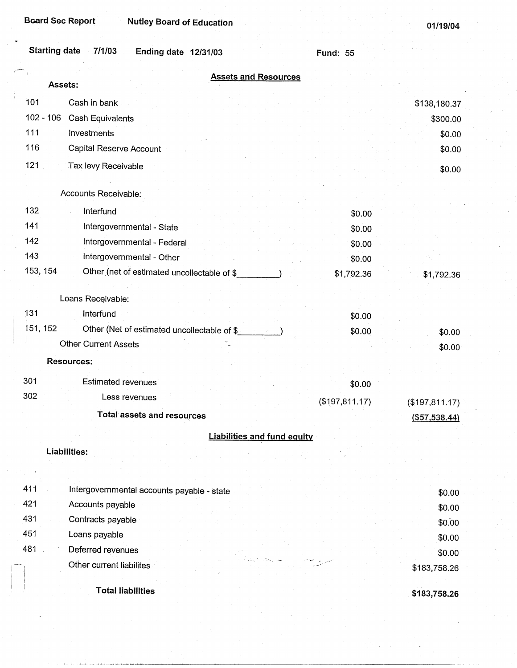| <b>Starting date</b><br>7/1/03<br>Ending date 12/31/03                | <b>Fund: 55</b> |                |
|-----------------------------------------------------------------------|-----------------|----------------|
| <b>Assets and Resources</b><br>Assets:                                |                 |                |
| 101<br>Cash in bank                                                   |                 | \$138,180.37   |
| $102 - 106$<br>Cash Equivalents                                       |                 | \$300.00       |
| 111<br><b>Investments</b>                                             |                 | \$0.00         |
| 116<br>Capital Reserve Account                                        |                 | \$0.00         |
| 121<br>Tax levy Receivable                                            |                 | \$0.00         |
|                                                                       |                 |                |
| Accounts Receivable:                                                  |                 |                |
| 132<br>Interfund                                                      | \$0.00          |                |
| 141<br>Intergovernmental - State                                      | \$0.00          |                |
| 142<br>Intergovernmental - Federal                                    | \$0.00          |                |
| 143<br>Intergovernmental - Other                                      | \$0.00          |                |
| 153, 154<br>Other (net of estimated uncollectable of \$               | \$1,792.36      | \$1,792.36     |
| Loans Receivable:                                                     |                 |                |
| 131<br>Interfund                                                      | \$0.00          |                |
| 151, 152<br>Other (Net of estimated uncollectable of \$_              | \$0.00          | \$0.00         |
| <b>Other Current Assets</b>                                           |                 | \$0.00         |
| <b>Resources:</b>                                                     |                 |                |
|                                                                       |                 |                |
| 301<br><b>Estimated revenues</b>                                      | \$0.00          |                |
| 302<br>Less revenues                                                  | (\$197,811.17)  | (\$197,811.17) |
| <b>Total assets and resources</b>                                     |                 | ( \$57,538.44) |
| <b>Liabilities and fund equity</b>                                    |                 |                |
| Liabilities:                                                          |                 |                |
|                                                                       |                 |                |
| 411                                                                   |                 |                |
| Intergovernmental accounts payable - state<br>421<br>Accounts payable |                 | \$0.00         |
| 431<br>Contracts payable                                              |                 | \$0.00         |
| 451<br>Loans payable                                                  |                 | \$0.00         |
| 481<br>Deferred revenues                                              |                 | \$0.00         |
| Other current liabilites                                              |                 | \$0.00         |
|                                                                       |                 | \$183,758.26   |
| <b>Total liabilities</b>                                              |                 | \$183,758.26   |